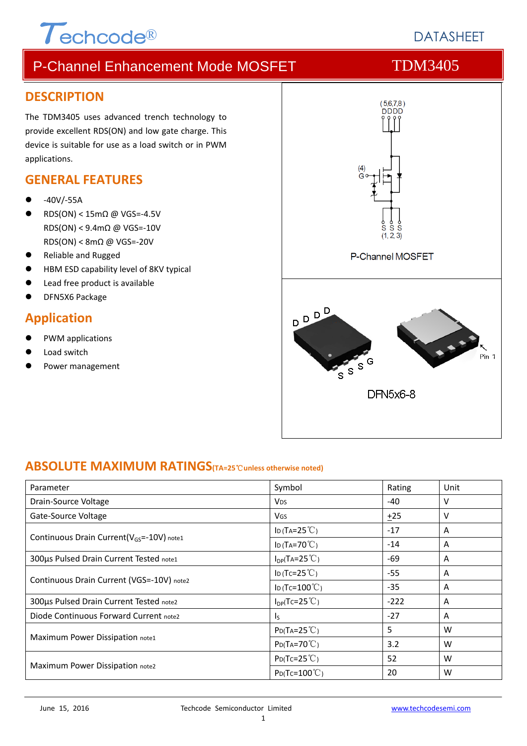# $\tau$ echcode®

# **DATASHEFT**

# P-Channel Enhancement Mode MOSFET TDM3405

#### **DESCRIPTION**

The TDM3405 uses advanced trench technology to provide excellent RDS(ON) and low gate charge. This device is suitable for use as a load switch or in PWM applications.

### **GENERAL FEATURES**

- ‐40V/‐55A
- RDS(ON) < 15mΩ @ VGS=‐4.5V RDS(ON) < 9.4mΩ @ VGS=‐10V RDS(ON) < 8mΩ @ VGS=‐20V
- Reliable and Rugged
- HBM ESD capability level of 8KV typical
- Lead free product is available
- DFN5X6 Package

## **Application**

- PWM applications
- Load switch
- Power management



### **ABSOLUTE MAXIMUM RATINGS(TA=25**℃**unless otherwise noted)**

| Parameter                                             | Symbol                   | Rating | Unit |
|-------------------------------------------------------|--------------------------|--------|------|
| Drain-Source Voltage                                  | <b>V<sub>DS</sub></b>    | $-40$  | v    |
| Gate-Source Voltage                                   | VGS                      | $+25$  | v    |
|                                                       | ID (TA= $25^{\circ}$ C)  | $-17$  | A    |
| Continuous Drain Current(V <sub>GS</sub> =-10V) note1 | ID (TA=70 $°C$ )         | $-14$  | A    |
| 300µs Pulsed Drain Current Tested note1               | $I_{DP}(TA=25^{\circ}C)$ | -69    | A    |
| Continuous Drain Current (VGS=-10V) note2             | ID (Tc=25 $°C$ )         | $-55$  | A    |
|                                                       | ID (Tc= $100^{\circ}$ C) | $-35$  | A    |
| 300µs Pulsed Drain Current Tested note2               | $I_{DP}(Tc=25^{\circ}C)$ | $-222$ | A    |
| Diode Continuous Forward Current note2                | $\mathsf{I}_\mathsf{S}$  | $-27$  | A    |
| Maximum Power Dissipation note1                       | $P_{D}(Ta=25^{\circ}C)$  | 5      | W    |
|                                                       | $P_{D}(Ta=70^{\circ}C)$  | 3.2    | W    |
|                                                       | $P_{D}(Tc=25^{\circ}C)$  | 52     | W    |
| Maximum Power Dissipation note2                       | $P_D(Tc=100^{\circ}C)$   | 20     | W    |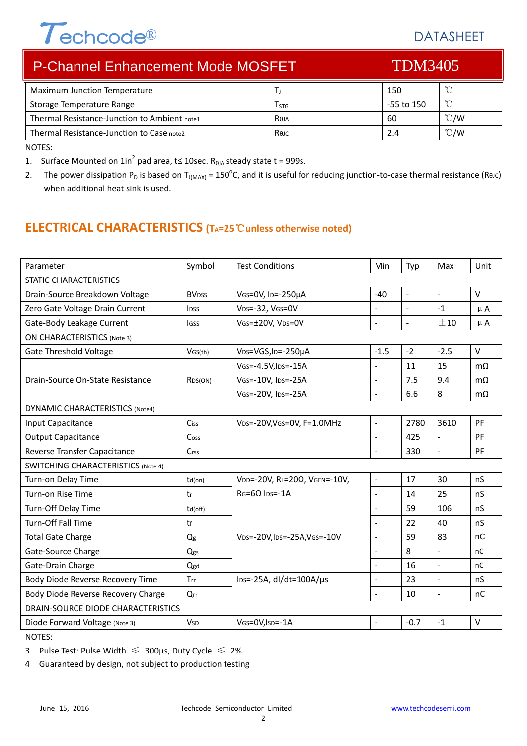# Techcode®

# DATASHEET

| <b>P-Channel Enhancement Mode MOSFET</b>     |           | <b>TDM3405</b> |               |  |
|----------------------------------------------|-----------|----------------|---------------|--|
| Maximum Junction Temperature                 |           | 150            | °C            |  |
| Storage Temperature Range                    | $I_{STG}$ | -55 to 150     | $^{\circ}$ C  |  |
| Thermal Resistance-Junction to Ambient note1 | Reja      | 60             | $\degree$ C/W |  |
| Thermal Resistance-Junction to Case note2    | Rejc      | 2.4            | $\degree$ C/W |  |
|                                              |           |                |               |  |

NOTES:

1. Surface Mounted on  $1in^2$  pad area, t is 10sec. R<sub>θJA</sub> steady state t = 999s.

2. The power dissipation P<sub>D</sub> is based on T<sub>J(MAX)</sub> = 150<sup>o</sup>C, and it is useful for reducing junction-to-case thermal resistance (ReJC) when additional heat sink is used.

# **ELECTRICAL CHARACTERISTICS (TA=25**℃**unless otherwise noted)**

| Parameter                                 | Symbol                  | <b>Test Conditions</b>                  | <b>Min</b>               | Typ            | Max                      | Unit      |
|-------------------------------------------|-------------------------|-----------------------------------------|--------------------------|----------------|--------------------------|-----------|
| <b>STATIC CHARACTERISTICS</b>             |                         |                                         |                          |                |                          |           |
| Drain-Source Breakdown Voltage            | <b>BV<sub>DSS</sub></b> | VGS=0V, ID=-250µA                       | $-40$                    | $\mathbf{r}$   | $\equiv$                 | $\vee$    |
| Zero Gate Voltage Drain Current           | <b>l</b> pss            | $VDS = -32$ , $VGS = OV$                | $\overline{a}$           | $\blacksquare$ | $-1$                     | $\mu$ A   |
| Gate-Body Leakage Current                 | <b>IGSS</b>             | VGS=±20V, VDS=0V                        | $\overline{a}$           | $\blacksquare$ | ±10                      | $\mu$ A   |
| <b>ON CHARACTERISTICS (Note 3)</b>        |                         |                                         |                          |                |                          |           |
| <b>Gate Threshold Voltage</b>             | VGS(th)                 | VDS=VGS, ID=-250µA                      | $-1.5$                   | $-2$           | $-2.5$                   | $\vee$    |
|                                           |                         | VGS=-4.5V, IDS=-15A                     | $\overline{a}$           | 11             | 15                       | $m\Omega$ |
| Drain-Source On-State Resistance          | R <sub>DS</sub> (ON)    | VGS=-10V, IDS=-25A                      | $\overline{a}$           | 7.5            | 9.4                      | $m\Omega$ |
|                                           |                         | VGS=-20V, IDS=-25A                      | $\overline{\phantom{a}}$ | 6.6            | 8                        | $m\Omega$ |
| <b>DYNAMIC CHARACTERISTICS (Note4)</b>    |                         |                                         |                          |                |                          |           |
| Input Capacitance                         | Ciss                    | VDS=-20V, VGS=0V, F=1.0MHz              | $\overline{a}$           | 2780           | 3610                     | PF        |
| <b>Output Capacitance</b>                 | Coss                    |                                         | $\overline{a}$           | 425            | $\equiv$                 | PF        |
| Reverse Transfer Capacitance              | Crss                    |                                         | $\overline{\phantom{a}}$ | 330            | $\overline{a}$           | PF        |
| <b>SWITCHING CHARACTERISTICS (Note 4)</b> |                         |                                         |                          |                |                          |           |
| Turn-on Delay Time                        | $td($ on $)$            | VDD=-20V, RL=20Ω, VGEN=-10V,            | $\overline{\phantom{a}}$ | 17             | 30                       | nS        |
| Turn-on Rise Time                         | tr                      | $RG = 6\Omega$ lps=-1A                  | $\overline{a}$           | 14             | 25                       | nS        |
| Turn-Off Delay Time                       | td(off)                 |                                         |                          | 59             | 106                      | nS        |
| Turn-Off Fall Time                        | tf                      |                                         |                          | 22             | 40                       | nS        |
| <b>Total Gate Charge</b>                  | Qg                      | VDS=-20V, IDS=-25A, VGS=-10V            | ÷,                       | 59             | 83                       | nC        |
| Gate-Source Charge                        | Qgs                     |                                         | $\overline{a}$           | 8              | $\blacksquare$           | nC        |
| Gate-Drain Charge                         | Qgd                     |                                         | $\overline{\phantom{a}}$ | 16             | $\overline{\phantom{a}}$ | nC        |
| Body Diode Reverse Recovery Time          | Trr                     | $\text{los}$ =-25A, dl/dt=100A/ $\mu$ s | $\overline{a}$           | 23             | $\blacksquare$           | nS        |
| Body Diode Reverse Recovery Charge        | Qrr                     |                                         |                          | 10             | $\overline{\phantom{a}}$ | nC        |
| DRAIN-SOURCE DIODE CHARACTERISTICS        |                         |                                         |                          |                |                          |           |
| Diode Forward Voltage (Note 3)            | <b>V</b> sp             | VGS=0V, ISD=-1A                         | $\overline{a}$           | $-0.7$         | $-1$                     | $\vee$    |

NOTES:

3 Pulse Test: Pulse Width  $\leq 300$ μs, Duty Cycle  $\leq 2\%$ .

4 Guaranteed by design, not subject to production testing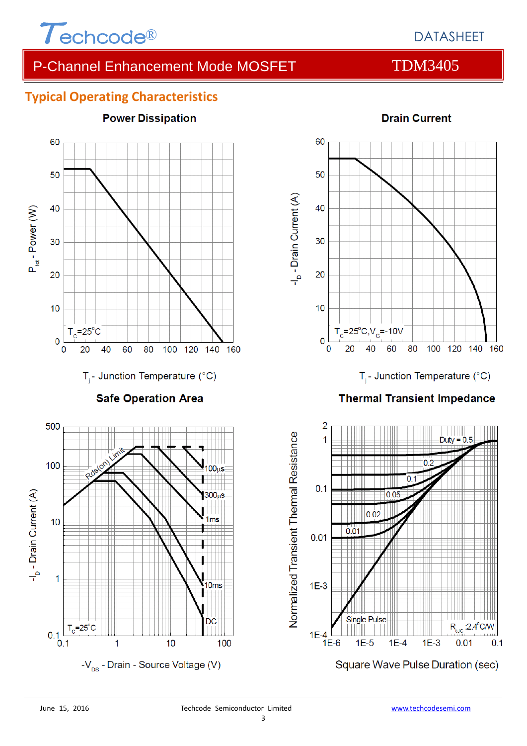

# DATASHEET

# P-Channel Enhancement Mode MOSFET TDM3405

## **Typical Operating Characteristics**



#### **Drain Current**

60

 $0.05$ 

 $1E-4$ 

80

100

120

| | | | | |||||<br>**Duty = 0.5** 

 $R_{\text{eJC}}$ :2.4°C/W

 $0.1$ 

 $0.01$ 

140

160

 $1E-3$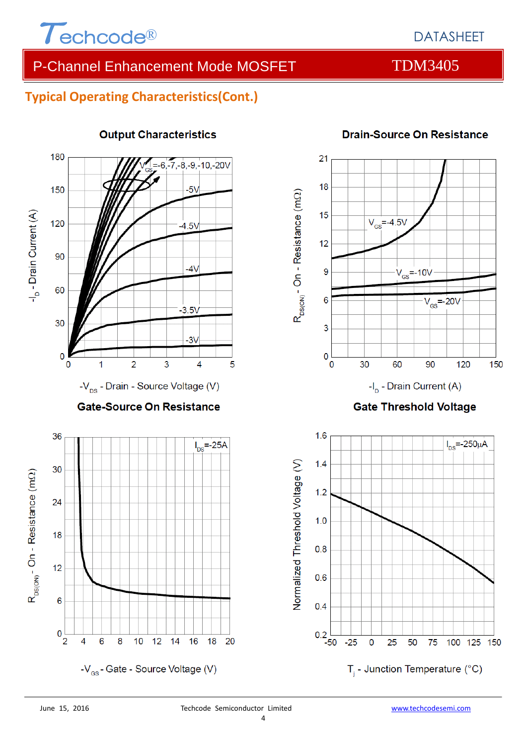

# DATASHEET

# P-Channel Enhancement Mode MOSFET TDM3405

# **Typical Operating Characteristics(Cont.)**



#### **Output Characteristics**



### **Drain-Source On Resistance**



4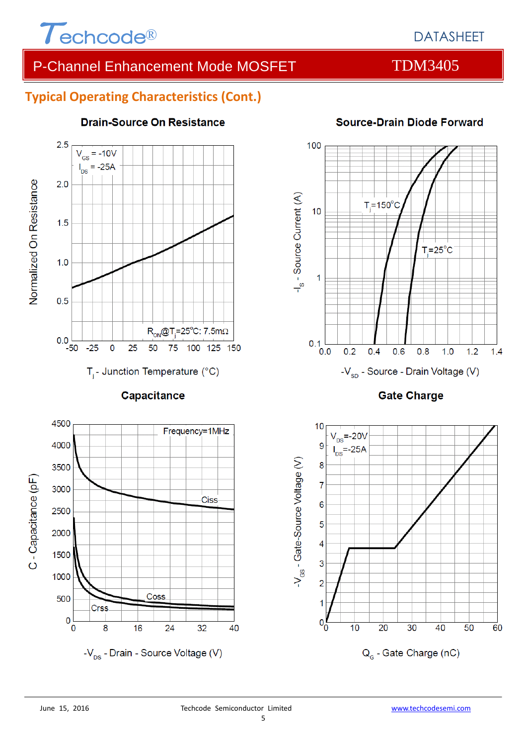

# P-Channel Enhancement Mode MOSFET TDM3405

## **Typical Operating Characteristics (Cont.)**



#### **Drain-Source On Resistance**





100 -I<sub>s</sub> - Source Current (A)  $T_i = 150$ °C  $10$  $T_i = 25$ °C  $\overline{1}$ 

 $0.1$ <sub>0.0</sub>

 $0.2$ 

 $0.4$ 

 $0.6$ 

-V<sub>sp</sub> - Source - Drain Voltage (V)

 $0.8$ 

 $1.0$ 

 $1.2$ 

 $1.4$ 

# Source-Drain Diode Forward

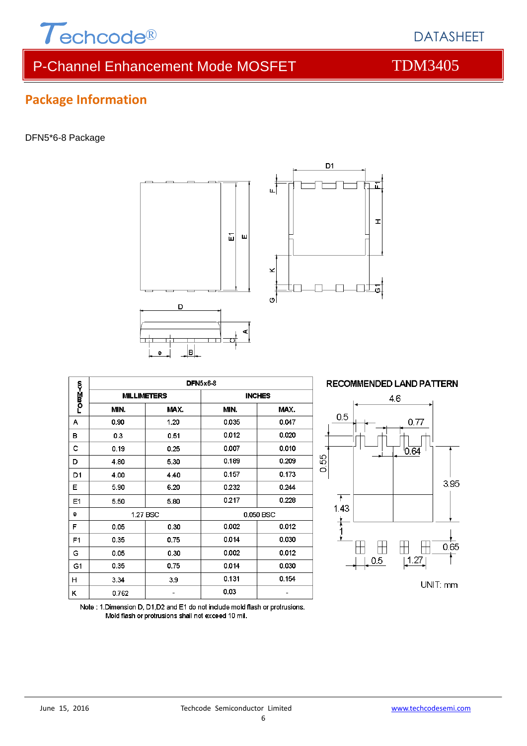

# P-Channel Enhancement Mode MOSFET TDM3405

# **Package Information**

#### DFN5\*6-8 Package





|                |       |                    | <b>DFN5x6-8</b> |       |  |
|----------------|-------|--------------------|-----------------|-------|--|
| <b>LOm≧≺a</b>  |       | <b>MILLIMETERS</b> | <b>INCHES</b>   |       |  |
|                | MIN.  | MAX.               | MIN.            | MAX.  |  |
| А              | 0.90  | 1.20               | 0.035           | 0.047 |  |
| в              | 0.3   | 0.51               | 0.012           | 0.020 |  |
| c              | 0.19  | 0.25               | 0.007           | 0.010 |  |
| D              | 4.80  | 5.30               | 0.189           | 0.209 |  |
| D1             | 4.00  | 4.40               | 0.157           | 0.173 |  |
| Ε              | 5.90  | 6.20               | 0.232           | 0.244 |  |
| E <sub>1</sub> | 5.50  | 5.80               | 0.217           | 0.228 |  |
| е              |       | 1.27 BSC           | 0.050 BSC       |       |  |
| F              | 0.05  | 0.30               | 0.002           | 0.012 |  |
| F <sub>1</sub> | 0.35  | 0.75               | 0.014           | 0.030 |  |
| G              | 0.05  | 0.30               | 0.002           | 0.012 |  |
| G1             | 0.35  | 0.75               | 0.014           | 0.030 |  |
| н              | 3.34  | 3.9                | 0.131           | 0.154 |  |
| κ              | 0.762 |                    | 0.03            |       |  |



Note: 1. Dimension D, D1, D2 and E1 do not include mold flash or protrusions. Mold flash or protrusions shall not exceed 10 mil.

DATASHEET